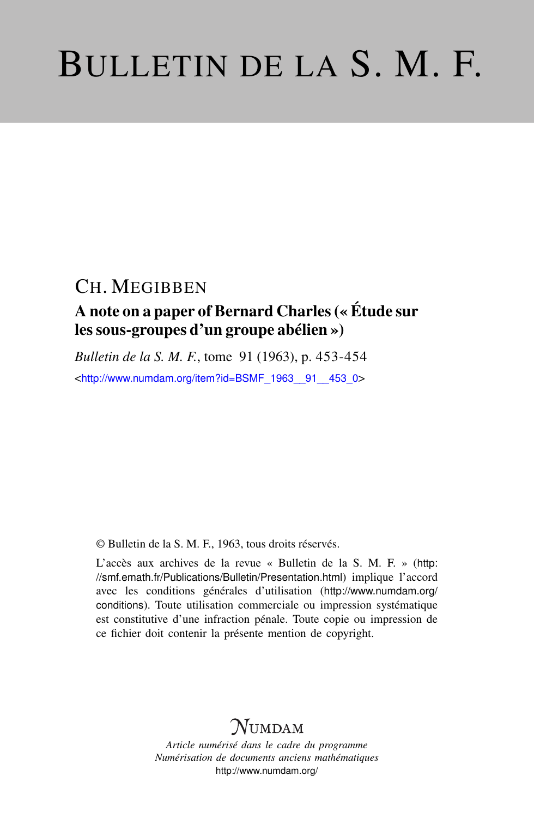# BULLETIN DE LA S. M. F.

## CH. MEGIBBEN

## A note on a paper of Bernard Charles (« Étude sur les sous-groupes d'un groupe abélien »)

*Bulletin de la S. M. F.*, tome 91 (1963), p. 453-454 <[http://www.numdam.org/item?id=BSMF\\_1963\\_\\_91\\_\\_453\\_0](http://www.numdam.org/item?id=BSMF_1963__91__453_0)>

© Bulletin de la S. M. F., 1963, tous droits réservés.

L'accès aux archives de la revue « Bulletin de la S. M. F. » ([http:](http://smf.emath.fr/Publications/Bulletin/Presentation.html) [//smf.emath.fr/Publications/Bulletin/Presentation.html](http://smf.emath.fr/Publications/Bulletin/Presentation.html)) implique l'accord avec les conditions générales d'utilisation ([http://www.numdam.org/](http://www.numdam.org/conditions) [conditions](http://www.numdam.org/conditions)). Toute utilisation commerciale ou impression systématique est constitutive d'une infraction pénale. Toute copie ou impression de ce fichier doit contenir la présente mention de copyright.

## NUMDAM

*Article numérisé dans le cadre du programme Numérisation de documents anciens mathématiques* <http://www.numdam.org/>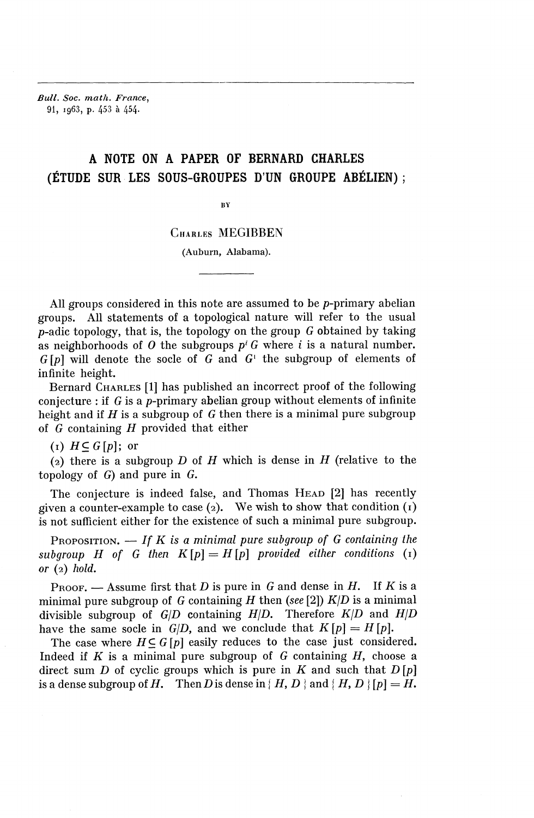*Bull. Soc. math. France,* 91, 1963, p. 453 a 454.

### A NOTE ON A PAPER OF BERNARD CHARLES (ÉTUDE SUR LES SOUS-GROUPES D'UN GROUPE ABÉLIEN) ;

 $\overline{\mathbf{B}}\mathbf{Y}$ 

#### CHARLES **MEGIBBEN**

(Auburn, Alabama).

All groups considered in this note are assumed to be  $p$ -primary abelian groups. All statements of a topological nature will refer to the usual p-adic topology, that is, the topology on the group *G* obtained by taking as neighborhoods of  $O$  the subgroups  $p^i G$  where i is a natural number. *G[p]* will denote the socle of *G* and G' the subgroup of elements of infinite height.

Bernard CHARLES [1] has published an incorrect proof of the following conjecture : if  $G$  is a p-primary abelian group without elements of infinite height and if *H* is a subgroup of *G* then there is a minimal pure subgroup of *G* containing *H* provided that either

 $(I)$   $H \subset G[p]$ ; or

(2) there is a subgroup *D* of *H* which is dense in *H* (relative to the topology of *G)* and pure in G.

The conjecture is indeed false, and Thomas HEAD [2] has recently given a counter-example to case  $(2)$ . We wish to show that condition  $(1)$ is not sufficient either for the existence of such a minimal pure subgroup.

PROPOSITION. — *If K is a minimal pure subgroup of G containing the subgroup H* of *G* then  $K[p]=H[p]$  provided either conditions (1) *or* (2) *hold.*

PROOF. — Assume first that *D* is pure in *G* and dense in *H.* If *K* is a minimal pure subgroup of *G* containing *H* then (see [2])  $K/D$  is a minimal divisible subgroup of  $G/D$  containing  $H/D$ . Therefore  $K/D$  and  $H/D$ have the same socle in  $G/D$ , and we conclude that  $K[p] = H[p]$ .

The case where  $H \subseteq G[p]$  easily reduces to the case just considered. Indeed if *K* is a minimal pure subgroup of G containing *H,* choose a direct sum *D* of cyclic groups which is pure in *K* and such that *D [p]* is a dense subgroup of H. Then D is dense in  $\{H, D\}$  and  $\{H, D\}$   $[p] = H$ .